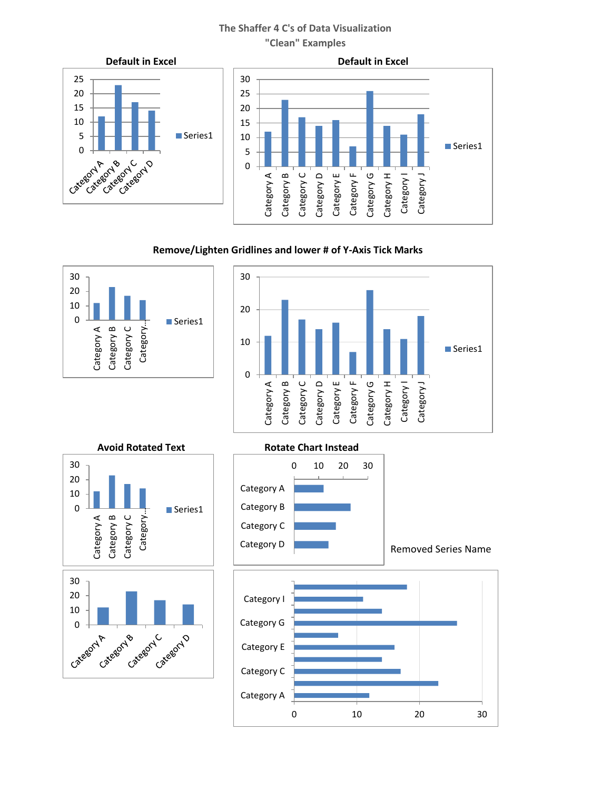



# **Remove/Lighten Gridlines and lower # of Y-Axis Tick Marks**







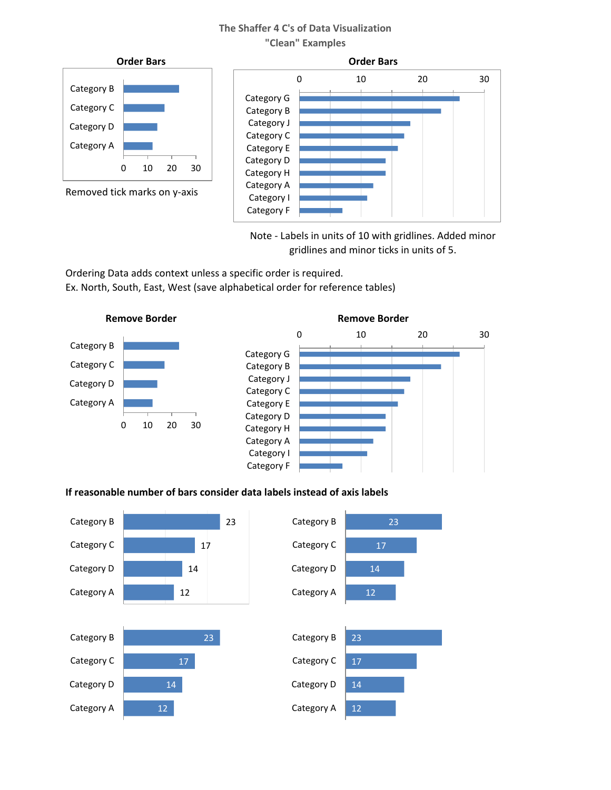

Note - Labels in units of 10 with gridlines. Added minor gridlines and minor ticks in units of 5.

Ordering Data adds context unless a specific order is required. Ex. North, South, East, West (save alphabetical order for reference tables)





# **If reasonable number of bars consider data labels instead of axis labels**

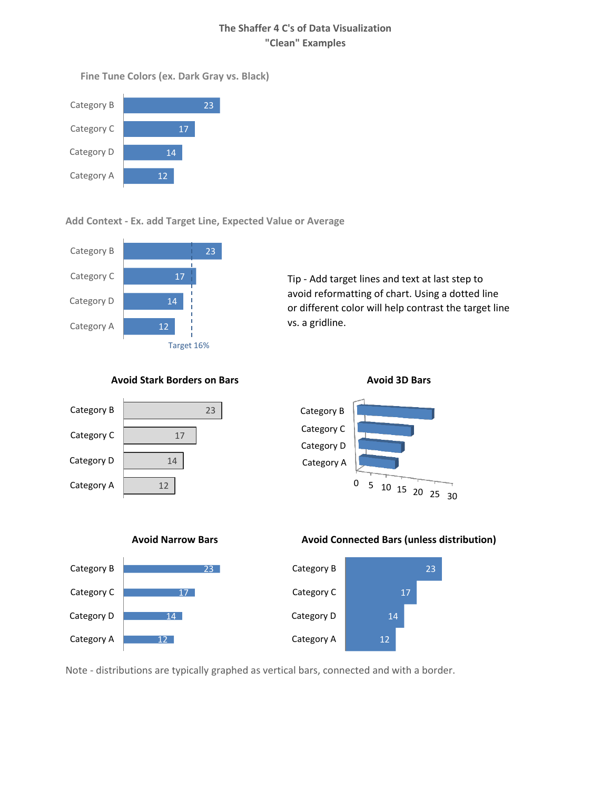**Fine Tune Colors (ex. Dark Gray vs. Black)**



## **Add Context - Ex. add Target Line, Expected Value or Average**



Tip - Add target lines and text at last step to avoid reformatting of chart. Using a dotted line or different color will help contrast the target line vs. a gridline.

## **Avoid Stark Borders on Bars Avoid 3D Bars**







#### **Avoid Narrow Bars Avoid Connected Bars (unless distribution)**



Note - distributions are typically graphed as vertical bars, connected and with a border.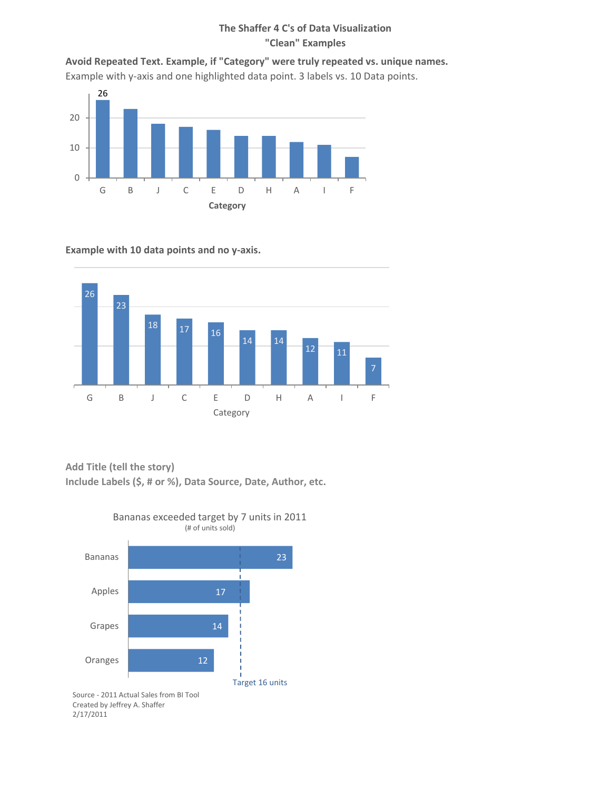**Avoid Repeated Text. Example, if "Category" were truly repeated vs. unique names.** Example with y-axis and one highlighted data point. 3 labels vs. 10 Data points.



#### **Example with 10 data points and no y-axis.**



**Add Title (tell the story)**

**Include Labels (\$, # or %), Data Source, Date, Author, etc.**



Created by Jeffrey A. Shaffer 2/17/2011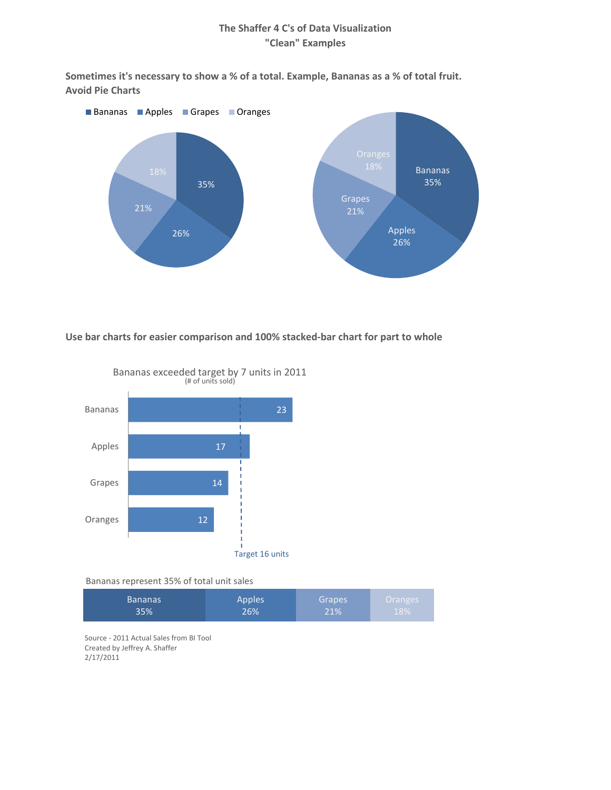**Sometimes it's necessary to show a % of a total. Example, Bananas as a % of total fruit. Avoid Pie Charts**



**Use bar charts for easier comparison and 100% stacked-bar chart for part to whole**



(# of units sold) Bananas exceeded target by 7 units in 2011

Bananas represent 35% of total unit sales

| <b>Bananas</b> | <b>Apples</b> | Grapes | Oranges <sup>1</sup> |
|----------------|---------------|--------|----------------------|
| 35%            | 26%           | 21%    | 18%                  |

Source - 2011 Actual Sales from BI Tool Created by Jeffrey A. Shaffer 2/17/2011